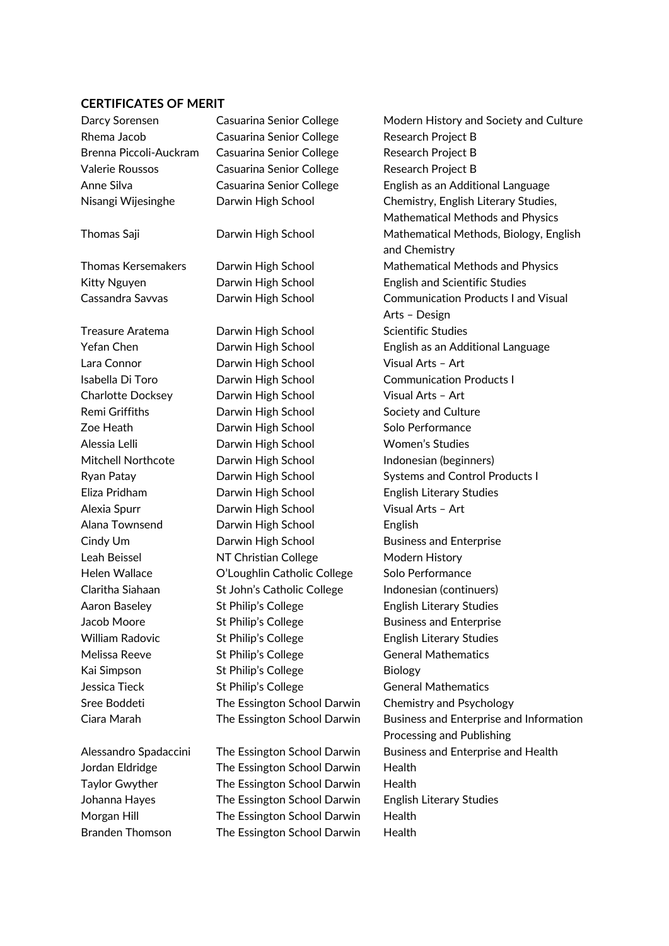## **CERTIFICATES OF MERIT**

| Darcy Sorensen            | Casuarina Senior College    | Modern History and Society and Culture     |
|---------------------------|-----------------------------|--------------------------------------------|
| Rhema Jacob               | Casuarina Senior College    | Research Project B                         |
| Brenna Piccoli-Auckram    | Casuarina Senior College    | <b>Research Project B</b>                  |
| <b>Valerie Roussos</b>    | Casuarina Senior College    | Research Project B                         |
| Anne Silva                | Casuarina Senior College    | English as an Additional Language          |
| Nisangi Wijesinghe        | Darwin High School          | Chemistry, English Literary Studies,       |
|                           |                             | Mathematical Methods and Physics           |
| Thomas Saji               | Darwin High School          | Mathematical Methods, Biology, English     |
|                           |                             | and Chemistry                              |
| <b>Thomas Kersemakers</b> | Darwin High School          | Mathematical Methods and Physics           |
| Kitty Nguyen              | Darwin High School          | <b>English and Scientific Studies</b>      |
| Cassandra Savvas          | Darwin High School          | <b>Communication Products I and Visual</b> |
|                           |                             | Arts - Design                              |
| Treasure Aratema          | Darwin High School          | <b>Scientific Studies</b>                  |
| Yefan Chen                | Darwin High School          | English as an Additional Language          |
| Lara Connor               | Darwin High School          | Visual Arts - Art                          |
| Isabella Di Toro          | Darwin High School          | <b>Communication Products I</b>            |
| <b>Charlotte Docksey</b>  | Darwin High School          | Visual Arts - Art                          |
| Remi Griffiths            | Darwin High School          | Society and Culture                        |
| Zoe Heath                 | Darwin High School          | Solo Performance                           |
| Alessia Lelli             | Darwin High School          | <b>Women's Studies</b>                     |
| <b>Mitchell Northcote</b> | Darwin High School          | Indonesian (beginners)                     |
| Ryan Patay                | Darwin High School          | <b>Systems and Control Products I</b>      |
| Eliza Pridham             | Darwin High School          | <b>English Literary Studies</b>            |
| Alexia Spurr              | Darwin High School          | Visual Arts - Art                          |
| Alana Townsend            | Darwin High School          | English                                    |
| Cindy Um                  | Darwin High School          | <b>Business and Enterprise</b>             |
| Leah Beissel              | NT Christian College        | Modern History                             |
| <b>Helen Wallace</b>      | O'Loughlin Catholic College | Solo Performance                           |
| Claritha Siahaan          | St John's Catholic College  | Indonesian (continuers)                    |
| Aaron Baseley             | St Philip's College         | <b>English Literary Studies</b>            |
| Jacob Moore               | St Philip's College         | <b>Business and Enterprise</b>             |
| <b>William Radovic</b>    | St Philip's College         | <b>English Literary Studies</b>            |
| Melissa Reeve             | St Philip's College         | <b>General Mathematics</b>                 |
| Kai Simpson               | St Philip's College         | Biology                                    |
| Jessica Tieck             | St Philip's College         | <b>General Mathematics</b>                 |
| Sree Boddeti              | The Essington School Darwin | Chemistry and Psychology                   |
| Ciara Marah               | The Essington School Darwin | Business and Enterprise and Information    |
|                           |                             | Processing and Publishing                  |
| Alessandro Spadaccini     | The Essington School Darwin | Business and Enterprise and Health         |
| Jordan Eldridge           | The Essington School Darwin | Health                                     |
| <b>Taylor Gwyther</b>     | The Essington School Darwin | Health                                     |
| Johanna Hayes             | The Essington School Darwin | <b>English Literary Studies</b>            |
| Morgan Hill               | The Essington School Darwin | Health                                     |
| <b>Branden Thomson</b>    | The Essington School Darwin | Health                                     |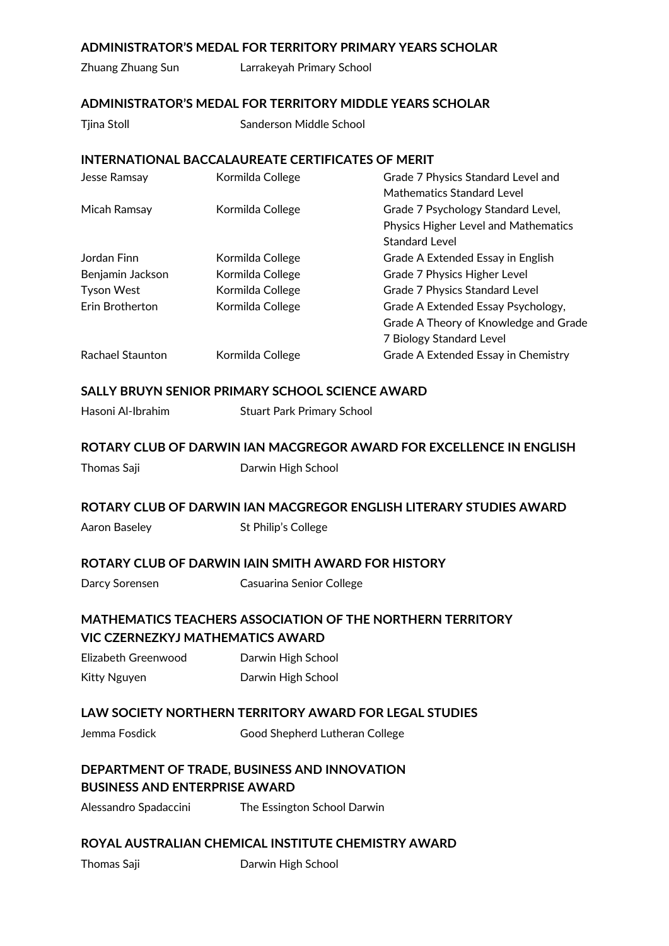## **ADMINISTRATOR'S MEDAL FOR TERRITORY PRIMARY YEARS SCHOLAR**

Zhuang Zhuang Sun Larrakeyah Primary School

## **ADMINISTRATOR'S MEDAL FOR TERRITORY MIDDLE YEARS SCHOLAR**

Tiina Stoll Sanderson Middle School

## **INTERNATIONAL BACCALAUREATE CERTIFICATES OF MERIT**

| Jesse Ramsay      | Kormilda College | Grade 7 Physics Standard Level and          |
|-------------------|------------------|---------------------------------------------|
|                   |                  | Mathematics Standard Level                  |
| Micah Ramsay      | Kormilda College | Grade 7 Psychology Standard Level,          |
|                   |                  | <b>Physics Higher Level and Mathematics</b> |
|                   |                  | <b>Standard Level</b>                       |
| Jordan Finn       | Kormilda College | Grade A Extended Essay in English           |
| Benjamin Jackson  | Kormilda College | Grade 7 Physics Higher Level                |
| <b>Tyson West</b> | Kormilda College | Grade 7 Physics Standard Level              |
| Erin Brotherton   | Kormilda College | Grade A Extended Essay Psychology,          |
|                   |                  | Grade A Theory of Knowledge and Grade       |
|                   |                  | 7 Biology Standard Level                    |
| Rachael Staunton  | Kormilda College | Grade A Extended Essay in Chemistry         |
|                   |                  |                                             |

## **SALLY BRUYN SENIOR PRIMARY SCHOOL SCIENCE AWARD**

Hasoni Al-Ibrahim Stuart Park Primary School

## **ROTARY CLUB OF DARWIN IAN MACGREGOR AWARD FOR EXCELLENCE IN ENGLISH**

Thomas Saji **Darwin High School** 

## **ROTARY CLUB OF DARWIN IAN MACGREGOR ENGLISH LITERARY STUDIES AWARD**

Aaron Baseley St Philip's College

#### **ROTARY CLUB OF DARWIN IAIN SMITH AWARD FOR HISTORY**

Darcy Sorensen Casuarina Senior College

# **MATHEMATICS TEACHERS ASSOCIATION OF THE NORTHERN TERRITORY VIC CZERNEZKYJ MATHEMATICS AWARD**

Elizabeth Greenwood Darwin High School Kitty Nguyen **Darwin High School** 

## **LAW SOCIETY NORTHERN TERRITORY AWARD FOR LEGAL STUDIES**

Jemma Fosdick Good Shepherd Lutheran College

# **DEPARTMENT OF TRADE, BUSINESS AND INNOVATION BUSINESS AND ENTERPRISE AWARD**

Alessandro Spadaccini The Essington School Darwin

## **ROYAL AUSTRALIAN CHEMICAL INSTITUTE CHEMISTRY AWARD**

Thomas Saji **Darwin High School**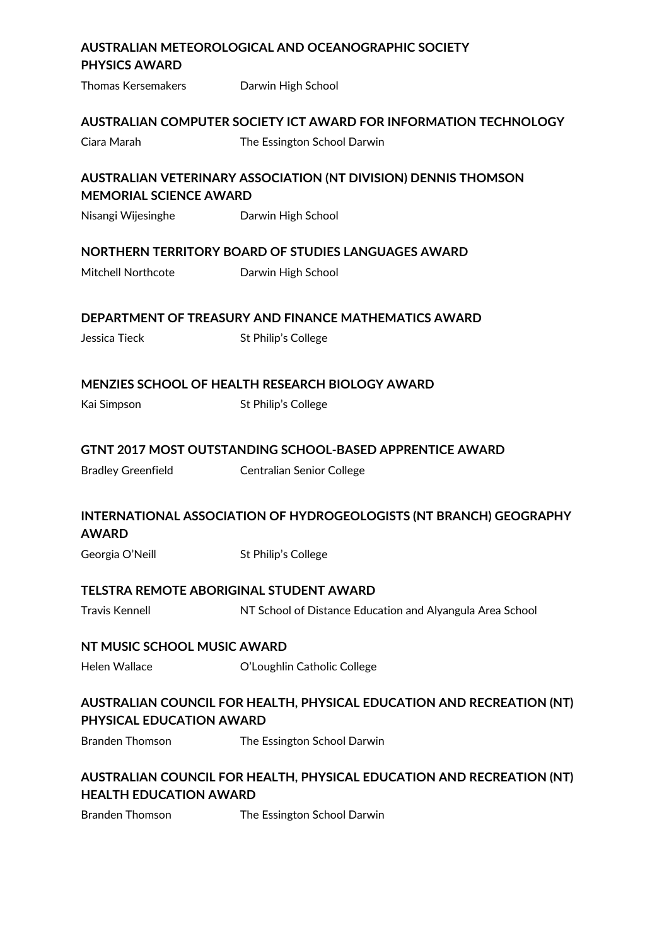# **AUSTRALIAN METEOROLOGICAL AND OCEANOGRAPHIC SOCIETY PHYSICS AWARD** Thomas Kersemakers **Darwin High School AUSTRALIAN COMPUTER SOCIETY ICT AWARD FOR INFORMATION TECHNOLOGY** Ciara Marah The Essington School Darwin **AUSTRALIAN VETERINARY ASSOCIATION (NT DIVISION) DENNIS THOMSON MEMORIAL SCIENCE AWARD** Nisangi Wijesinghe Darwin High School **NORTHERN TERRITORY BOARD OF STUDIES LANGUAGES AWARD** Mitchell Northcote **Darwin High School DEPARTMENT OF TREASURY AND FINANCE MATHEMATICS AWARD** Jessica Tieck St Philip's College **MENZIES SCHOOL OF HEALTH RESEARCH BIOLOGY AWARD** Kai Simpson St Philip's College **GTNT 2017 MOST OUTSTANDING SCHOOL-BASED APPRENTICE AWARD** Bradley Greenfield Centralian Senior College **INTERNATIONAL ASSOCIATION OF HYDROGEOLOGISTS (NT BRANCH) GEOGRAPHY AWARD** Georgia O'Neill St Philip's College **TELSTRA REMOTE ABORIGINAL STUDENT AWARD** Travis Kennell NT School of Distance Education and Alyangula Area School **NT MUSIC SCHOOL MUSIC AWARD** Helen Wallace **O'Loughlin Catholic College AUSTRALIAN COUNCIL FOR HEALTH, PHYSICAL EDUCATION AND RECREATION (NT) PHYSICAL EDUCATION AWARD** Branden Thomson The Essington School Darwin **AUSTRALIAN COUNCIL FOR HEALTH, PHYSICAL EDUCATION AND RECREATION (NT) HEALTH EDUCATION AWARD**

Branden Thomson The Essington School Darwin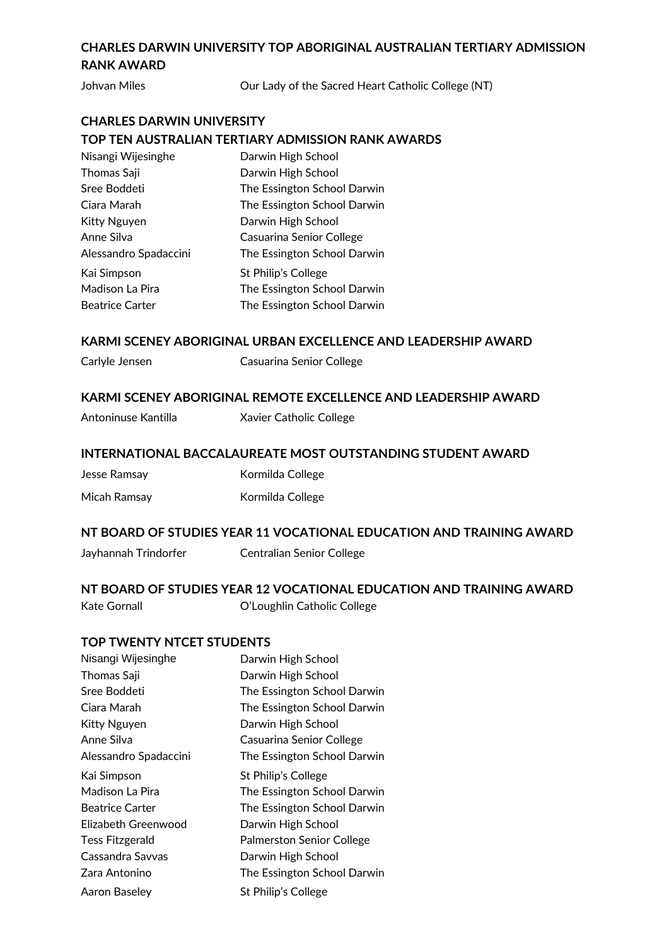# **CHARLES DARWIN UNIVERSITY TOP ABORIGINAL AUSTRALIAN TERTIARY ADMISSION RANK AWARD**

Johvan Miles **Our Lady of the Sacred Heart Catholic College (NT)** 

# **CHARLES DARWIN UNIVERSITY TOP TEN AUSTRALIAN TERTIARY ADMISSION RANK AWARDS**

| Nisangi Wijesinghe     | Darwin High School          |
|------------------------|-----------------------------|
| Thomas Saji            | Darwin High School          |
| Sree Boddeti           | The Essington School Darwin |
| Ciara Marah            | The Essington School Darwin |
| <b>Kitty Nguyen</b>    | Darwin High School          |
| Anne Silva             | Casuarina Senior College    |
| Alessandro Spadaccini  | The Essington School Darwin |
| Kai Simpson            | St Philip's College         |
| Madison La Pira        | The Essington School Darwin |
| <b>Beatrice Carter</b> | The Essington School Darwin |

## **KARMI SCENEY ABORIGINAL URBAN EXCELLENCE AND LEADERSHIP AWARD**

Carlyle Jensen Casuarina Senior College

## **KARMI SCENEY ABORIGINAL REMOTE EXCELLENCE AND LEADERSHIP AWARD**

## **INTERNATIONAL BACCALAUREATE MOST OUTSTANDING STUDENT AWARD**

Jesse Ramsay Kormilda College Micah Ramsay **Kormilda College** 

## **NT BOARD OF STUDIES YEAR 11 VOCATIONAL EDUCATION AND TRAINING AWARD**

#### Jayhannah Trindorfer Centralian Senior College

## **NT BOARD OF STUDIES YEAR 12 VOCATIONAL EDUCATION AND TRAINING AWARD**  Kate Gornall **College** C'Loughlin Catholic College

## **TOP TWENTY NTCET STUDENTS**

| Nisangi Wijesinghe     | Darwin High School               |
|------------------------|----------------------------------|
| Thomas Saji            | Darwin High School               |
| Sree Boddeti           | The Essington School Darwin      |
| Ciara Marah            | The Essington School Darwin      |
| <b>Kitty Nguyen</b>    | Darwin High School               |
| Anne Silva             | Casuarina Senior College         |
| Alessandro Spadaccini  | The Essington School Darwin      |
| Kai Simpson            | St Philip's College              |
| Madison La Pira        | The Essington School Darwin      |
| Beatrice Carter        | The Essington School Darwin      |
| Elizabeth Greenwood    | Darwin High School               |
| <b>Tess Fitzgerald</b> | <b>Palmerston Senior College</b> |
| Cassandra Savvas       | Darwin High School               |
| Zara Antonino          | The Essington School Darwin      |
| Aaron Baseley          | St Philip's College              |